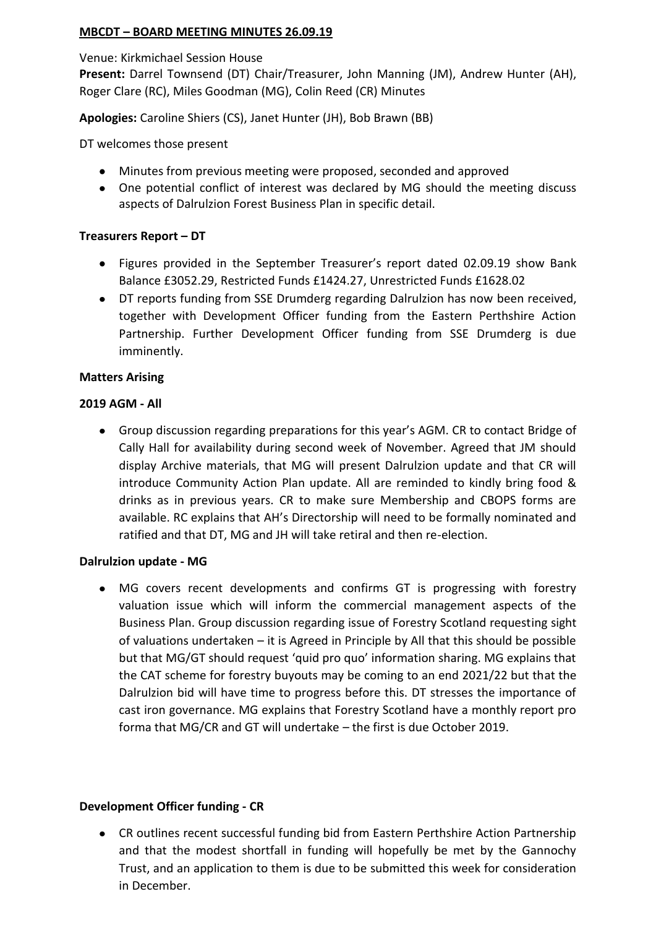## **MBCDT – BOARD MEETING MINUTES 26.09.19**

Venue: Kirkmichael Session House

**Present:** Darrel Townsend (DT) Chair/Treasurer, John Manning (JM), Andrew Hunter (AH), Roger Clare (RC), Miles Goodman (MG), Colin Reed (CR) Minutes

**Apologies:** Caroline Shiers (CS), Janet Hunter (JH), Bob Brawn (BB)

DT welcomes those present

- Minutes from previous meeting were proposed, seconded and approved
- One potential conflict of interest was declared by MG should the meeting discuss aspects of Dalrulzion Forest Business Plan in specific detail.

## **Treasurers Report – DT**

- Figures provided in the September Treasurer's report dated 02.09.19 show Bank Balance £3052.29, Restricted Funds £1424.27, Unrestricted Funds £1628.02
- DT reports funding from SSE Drumderg regarding Dalrulzion has now been received, together with Development Officer funding from the Eastern Perthshire Action Partnership. Further Development Officer funding from SSE Drumderg is due imminently.

## **Matters Arising**

## **2019 AGM - All**

Group discussion regarding preparations for this year's AGM. CR to contact Bridge of  $\bullet$ Cally Hall for availability during second week of November. Agreed that JM should display Archive materials, that MG will present Dalrulzion update and that CR will introduce Community Action Plan update. All are reminded to kindly bring food & drinks as in previous years. CR to make sure Membership and CBOPS forms are available. RC explains that AH's Directorship will need to be formally nominated and ratified and that DT, MG and JH will take retiral and then re-election.

### **Dalrulzion update - MG**

MG covers recent developments and confirms GT is progressing with forestry valuation issue which will inform the commercial management aspects of the Business Plan. Group discussion regarding issue of Forestry Scotland requesting sight of valuations undertaken – it is Agreed in Principle by All that this should be possible but that MG/GT should request 'quid pro quo' information sharing. MG explains that the CAT scheme for forestry buyouts may be coming to an end 2021/22 but that the Dalrulzion bid will have time to progress before this. DT stresses the importance of cast iron governance. MG explains that Forestry Scotland have a monthly report pro forma that MG/CR and GT will undertake – the first is due October 2019.

### **Development Officer funding - CR**

CR outlines recent successful funding bid from Eastern Perthshire Action Partnership and that the modest shortfall in funding will hopefully be met by the Gannochy Trust, and an application to them is due to be submitted this week for consideration in December.